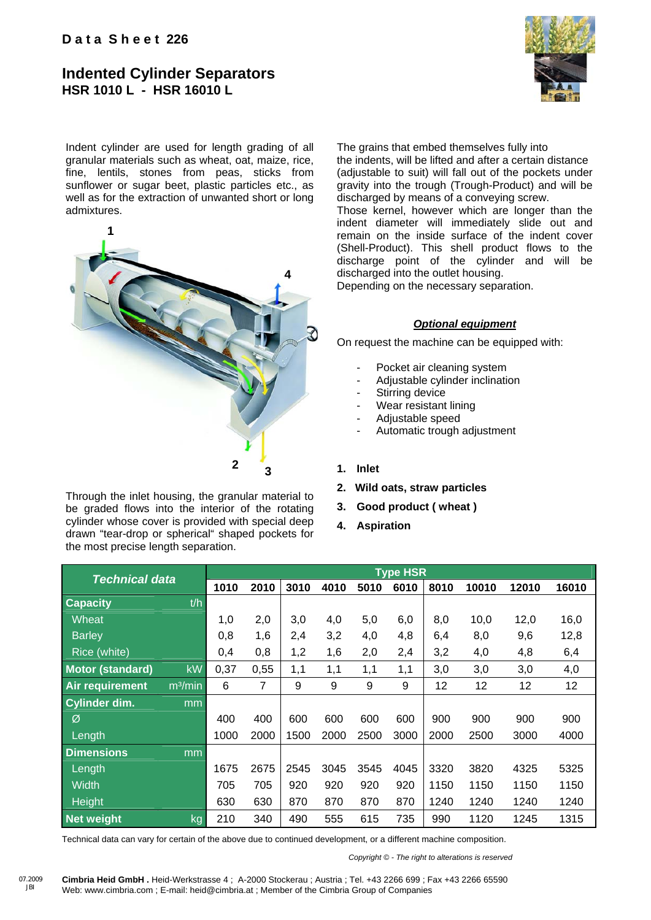## **Indented Cylinder Separators HSR 1010 L - HSR 16010 L**



Indent cylinder are used for length grading of all granular materials such as wheat, oat, maize, rice, fine, lentils, stones from peas, sticks from sunflower or sugar beet, plastic particles etc., as well as for the extraction of unwanted short or long admixtures.



Through the inlet housing, the granular material to be graded flows into the interior of the rotating cylinder whose cover is provided with special deep drawn "tear-drop or spherical" shaped pockets for the most precise length separation.

07.2009 JBI

The grains that embed themselves fully into the indents, will be lifted and after a certain distance (adjustable to suit) will fall out of the pockets under gravity into the trough (Trough-Product) and will be discharged by means of a conveying screw.

Those kernel, however which are longer than the indent diameter will immediately slide out and remain on the inside surface of the indent cover (Shell-Product). This shell product flows to the discharge point of the cylinder and will be discharged into the outlet housing.

Depending on the necessary separation.

## *Optional equipment*

On request the machine can be equipped with:

- Pocket air cleaning system
- Adjustable cylinder inclination
- Stirring device
- Wear resistant lining
- Adjustable speed
- Automatic trough adjustment

## **1. Inlet**

- **2. Wild oats, straw particles**
- **3. Good product ( wheat )**
- **4. Aspiration**

| <b>Technical data</b>   |                     | <b>Type HSR</b> |      |      |      |      |      |      |       |       |       |
|-------------------------|---------------------|-----------------|------|------|------|------|------|------|-------|-------|-------|
|                         |                     | 1010            | 2010 | 3010 | 4010 | 5010 | 6010 | 8010 | 10010 | 12010 | 16010 |
| <b>Capacity</b>         | t/h                 |                 |      |      |      |      |      |      |       |       |       |
| Wheat                   |                     | 1,0             | 2,0  | 3,0  | 4,0  | 5,0  | 6,0  | 8,0  | 10,0  | 12,0  | 16,0  |
| <b>Barley</b>           |                     | 0,8             | 1,6  | 2,4  | 3,2  | 4,0  | 4,8  | 6,4  | 8,0   | 9,6   | 12,8  |
| Rice (white)            |                     | 0,4             | 0,8  | 1,2  | 1,6  | 2,0  | 2,4  | 3,2  | 4,0   | 4,8   | 6,4   |
| <b>Motor (standard)</b> | <b>kW</b>           | 0,37            | 0,55 | 1,1  | 1,1  | 1,1  | 1,1  | 3,0  | 3,0   | 3,0   | 4,0   |
| Air requirement         | m <sup>3</sup> /min | 6               | 7    | 9    | 9    | 9    | 9    | 12   | 12    | 12    | 12    |
| <b>Cylinder dim.</b>    | mm                  |                 |      |      |      |      |      |      |       |       |       |
| Ø                       |                     | 400             | 400  | 600  | 600  | 600  | 600  | 900  | 900   | 900   | 900   |
| Length                  |                     | 1000            | 2000 | 1500 | 2000 | 2500 | 3000 | 2000 | 2500  | 3000  | 4000  |
| <b>Dimensions</b>       | mm                  |                 |      |      |      |      |      |      |       |       |       |
| Length                  |                     | 1675            | 2675 | 2545 | 3045 | 3545 | 4045 | 3320 | 3820  | 4325  | 5325  |
| <b>Width</b>            |                     | 705             | 705  | 920  | 920  | 920  | 920  | 1150 | 1150  | 1150  | 1150  |
| Height                  |                     | 630             | 630  | 870  | 870  | 870  | 870  | 1240 | 1240  | 1240  | 1240  |
| <b>Net weight</b>       | kg                  | 210             | 340  | 490  | 555  | 615  | 735  | 990  | 1120  | 1245  | 1315  |

Technical data can vary for certain of the above due to continued development, or a different machine composition.

 *Copyright © - The right to alterations is reserved*